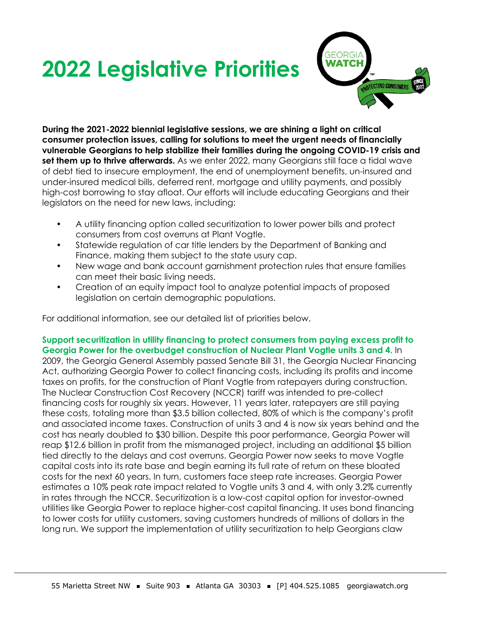## **2022 Legislative Priorities**



**During the 2021-2022 biennial legislative sessions, we are shining a light on critical consumer protection issues, calling for solutions to meet the urgent needs of financially vulnerable Georgians to help stabilize their families during the ongoing COVID-19 crisis and set them up to thrive afterwards.** As we enter 2022, many Georgians still face a tidal wave of debt tied to insecure employment, the end of unemployment benefits, un-insured and under-insured medical bills, deferred rent, mortgage and utility payments, and possibly high-cost borrowing to stay afloat. Our efforts will include educating Georgians and their legislators on the need for new laws, including:

- A utility financing option called securitization to lower power bills and protect consumers from cost overruns at Plant Vogtle.
- Statewide regulation of car title lenders by the Department of Banking and Finance, making them subject to the state usury cap.
- New wage and bank account garnishment protection rules that ensure families can meet their basic living needs.
- Creation of an equity impact tool to analyze potential impacts of proposed legislation on certain demographic populations.

For additional information, see our detailed list of priorities below.

**Support securitization in utility financing to protect consumers from paying excess profit to Georgia Power for the overbudget construction of Nuclear Plant Vogtle units 3 and 4.** In 2009, the Georgia General Assembly passed Senate Bill 31, the Georgia Nuclear Financing Act, authorizing Georgia Power to collect financing costs, including its profits and income taxes on profits, for the construction of Plant Vogtle from ratepayers during construction. The Nuclear Construction Cost Recovery (NCCR) tariff was intended to pre-collect financing costs for roughly six years. However, 11 years later, ratepayers are still paying these costs, totaling more than \$3.5 billion collected, 80% of which is the company's profit and associated income taxes. Construction of units 3 and 4 is now six years behind and the cost has nearly doubled to \$30 billion. Despite this poor performance, Georgia Power will reap \$12.6 billion in profit from the mismanaged project, including an additional \$5 billion tied directly to the delays and cost overruns. Georgia Power now seeks to move Vogtle capital costs into its rate base and begin earning its full rate of return on these bloated costs for the next 60 years. In turn, customers face steep rate increases. Georgia Power estimates a 10% peak rate impact related to Vogtle units 3 and 4, with only 3.2% currently in rates through the NCCR. Securitization is a low-cost capital option for investor-owned utilities like Georgia Power to replace higher-cost capital financing. It uses bond financing to lower costs for utility customers, saving customers hundreds of millions of dollars in the long run. We support the implementation of utility securitization to help Georgians claw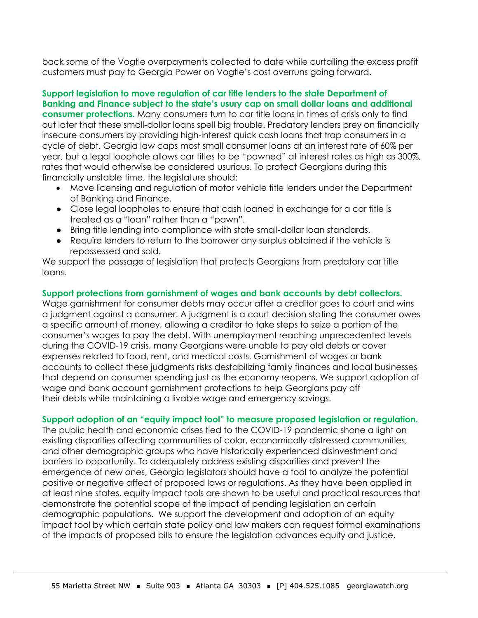back some of the Vogtle overpayments collected to date while curtailing the excess profit customers must pay to Georgia Power on Vogtle's cost overruns going forward.

**Support legislation to move regulation of car title lenders to the state Department of Banking and Finance subject to the state's usury cap on small dollar loans and additional consumer protections.** Many consumers turn to car title loans in times of crisis only to find out later that these small-dollar loans spell big trouble. Predatory lenders prey on financially insecure consumers by providing high-interest quick cash loans that trap consumers in a cycle of debt. Georgia law caps most small consumer loans at an interest rate of 60% per year, but a legal loophole allows car titles to be "pawned" at interest rates as high as 300%, rates that would otherwise be considered usurious. To protect Georgians during this financially unstable time, the legislature should:

- Move licensing and regulation of motor vehicle title lenders under the Department of Banking and Finance.
- Close legal loopholes to ensure that cash loaned in exchange for a car title is treated as a "loan" rather than a "pawn".
- Bring title lending into compliance with state small-dollar loan standards.
- Require lenders to return to the borrower any surplus obtained if the vehicle is repossessed and sold.

We support the passage of legislation that protects Georgians from predatory car title loans.

## **Support protections from garnishment of wages and bank accounts by debt collectors.**

Wage garnishment for consumer debts may occur after a creditor goes to court and wins a judgment against a consumer. A judgment is a court decision stating the consumer owes a specific amount of money, allowing a creditor to take steps to seize a portion of the consumer's wages to pay the debt. With unemployment reaching unprecedented levels during the COVID-19 crisis, many Georgians were unable to pay old debts or cover expenses related to food, rent, and medical costs. Garnishment of wages or bank accounts to collect these judgments risks destabilizing family finances and local businesses that depend on consumer spending just as the economy reopens. We support adoption of wage and bank account garnishment protections to help Georgians pay off their debts while maintaining a livable wage and emergency savings.

## **Support adoption of an "equity impact tool" to measure proposed legislation or regulation.**

The public health and economic crises tied to the COVID-19 pandemic shone a light on existing disparities affecting communities of color, economically distressed communities, and other demographic groups who have historically experienced disinvestment and barriers to opportunity. To adequately address existing disparities and prevent the emergence of new ones, Georgia legislators should have a tool to analyze the potential positive or negative affect of proposed laws or regulations. As they have been applied in at least nine states, equity impact tools are shown to be useful and practical resources that demonstrate the potential scope of the impact of pending legislation on certain demographic populations. We support the development and adoption of an equity impact tool by which certain state policy and law makers can request formal examinations of the impacts of proposed bills to ensure the legislation advances equity and justice.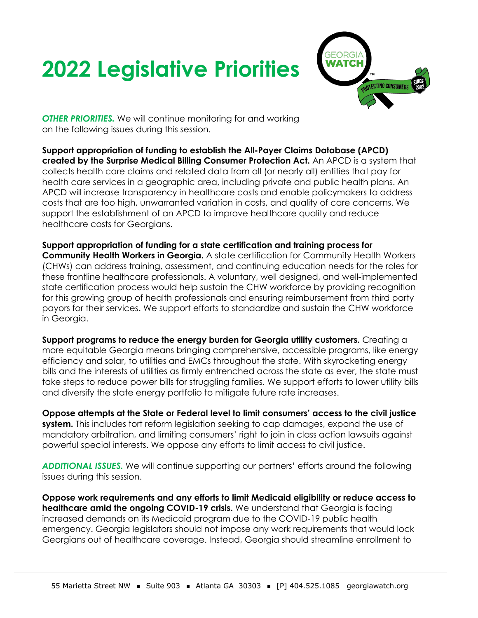## **2022 Legislative Priorities**



*OTHER PRIORITIES.* We will continue monitoring for and working on the following issues during this session.

**Support appropriation of funding to establish the All-Payer Claims Database (APCD) created by the Surprise Medical Billing Consumer Protection Act.** An APCD is a system that collects health care claims and related data from all (or nearly all) entities that pay for health care services in a geographic area, including private and public health plans. An APCD will increase transparency in healthcare costs and enable policymakers to address costs that are too high, unwarranted variation in costs, and quality of care concerns. We support the establishment of an APCD to improve healthcare quality and reduce healthcare costs for Georgians.

**Support appropriation of funding for a state certification and training process for Community Health Workers in Georgia.** A state certification for Community Health Workers (CHWs) can address training, assessment, and continuing education needs for the roles for these frontline healthcare professionals. A voluntary, well designed, and well-implemented state certification process would help sustain the CHW workforce by providing recognition for this growing group of health professionals and ensuring reimbursement from third party payors for their services. We support efforts to standardize and sustain the CHW workforce in Georgia.

**Support programs to reduce the energy burden for Georgia utility customers.** Creating a more equitable Georgia means bringing comprehensive, accessible programs, like energy efficiency and solar, to utilities and EMCs throughout the state. With skyrocketing energy bills and the interests of utilities as firmly entrenched across the state as ever, the state must take steps to reduce power bills for struggling families. We support efforts to lower utility bills and diversify the state energy portfolio to mitigate future rate increases.

**Oppose attempts at the State or Federal level to limit consumers' access to the civil justice system.** This includes tort reform legislation seeking to cap damages, expand the use of mandatory arbitration, and limiting consumers' right to join in class action lawsuits against powerful special interests. We oppose any efforts to limit access to civil justice.

*ADDITIONAL ISSUES.* We will continue supporting our partners' efforts around the following issues during this session.

**Oppose work requirements and any efforts to limit Medicaid eligibility or reduce access to healthcare amid the ongoing COVID-19 crisis.** We understand that Georgia is facing increased demands on its Medicaid program due to the COVID-19 public health emergency. Georgia legislators should not impose any work requirements that would lock Georgians out of healthcare coverage. Instead, Georgia should streamline enrollment to